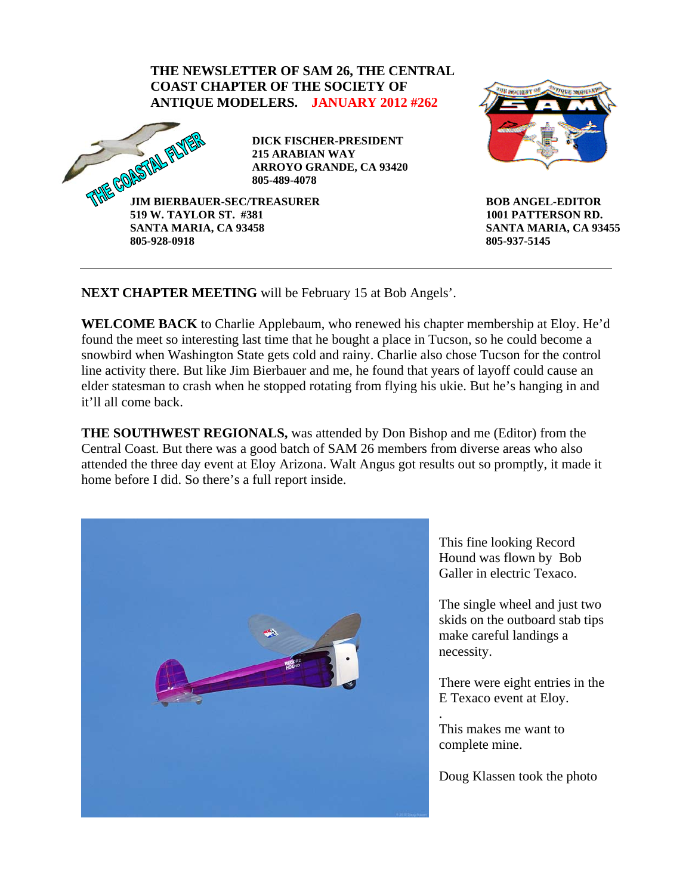

**BOB ANGEL-EDITOR 1001 PATTERSON RD. SANTA MARIA, CA 93455 805-937-5145** 

**NEXT CHAPTER MEETING** will be February 15 at Bob Angels'.

**WELCOME BACK** to Charlie Applebaum, who renewed his chapter membership at Eloy. He'd found the meet so interesting last time that he bought a place in Tucson, so he could become a snowbird when Washington State gets cold and rainy. Charlie also chose Tucson for the control line activity there. But like Jim Bierbauer and me, he found that years of layoff could cause an elder statesman to crash when he stopped rotating from flying his ukie. But he's hanging in and it'll all come back.

**THE SOUTHWEST REGIONALS,** was attended by Don Bishop and me (Editor) from the Central Coast. But there was a good batch of SAM 26 members from diverse areas who also attended the three day event at Eloy Arizona. Walt Angus got results out so promptly, it made it home before I did. So there's a full report inside.



This fine looking Record Hound was flown by Bob Galler in electric Texaco.

The single wheel and just two skids on the outboard stab tips make careful landings a necessity.

There were eight entries in the E Texaco event at Eloy.

This makes me want to complete mine.

.

Doug Klassen took the photo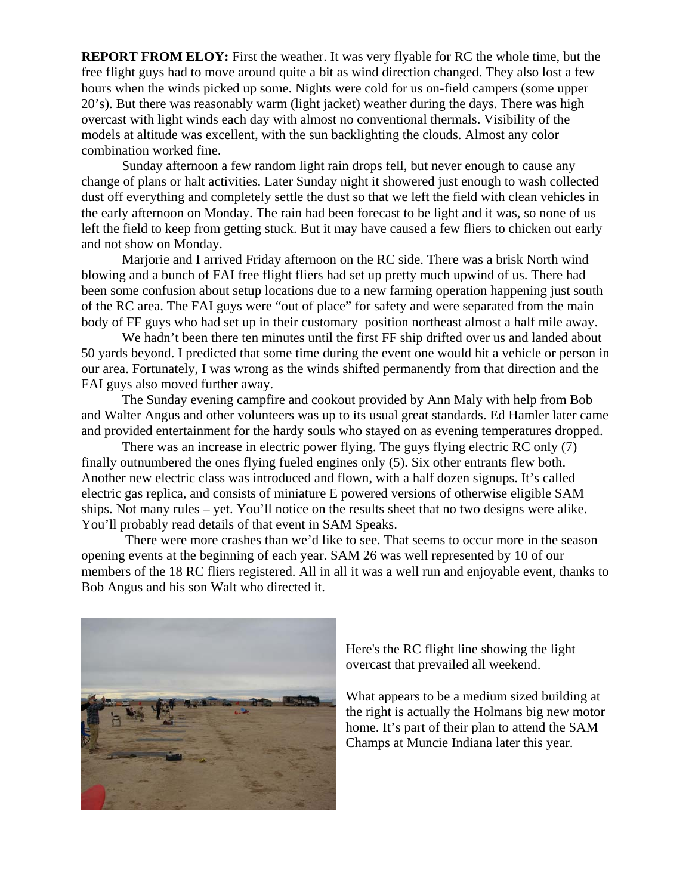**REPORT FROM ELOY:** First the weather. It was very flyable for RC the whole time, but the free flight guys had to move around quite a bit as wind direction changed. They also lost a few hours when the winds picked up some. Nights were cold for us on-field campers (some upper 20's). But there was reasonably warm (light jacket) weather during the days. There was high overcast with light winds each day with almost no conventional thermals. Visibility of the models at altitude was excellent, with the sun backlighting the clouds. Almost any color combination worked fine.

 Sunday afternoon a few random light rain drops fell, but never enough to cause any change of plans or halt activities. Later Sunday night it showered just enough to wash collected dust off everything and completely settle the dust so that we left the field with clean vehicles in the early afternoon on Monday. The rain had been forecast to be light and it was, so none of us left the field to keep from getting stuck. But it may have caused a few fliers to chicken out early and not show on Monday.

 Marjorie and I arrived Friday afternoon on the RC side. There was a brisk North wind blowing and a bunch of FAI free flight fliers had set up pretty much upwind of us. There had been some confusion about setup locations due to a new farming operation happening just south of the RC area. The FAI guys were "out of place" for safety and were separated from the main body of FF guys who had set up in their customary position northeast almost a half mile away.

We hadn't been there ten minutes until the first FF ship drifted over us and landed about 50 yards beyond. I predicted that some time during the event one would hit a vehicle or person in our area. Fortunately, I was wrong as the winds shifted permanently from that direction and the FAI guys also moved further away.

 The Sunday evening campfire and cookout provided by Ann Maly with help from Bob and Walter Angus and other volunteers was up to its usual great standards. Ed Hamler later came and provided entertainment for the hardy souls who stayed on as evening temperatures dropped.

 There was an increase in electric power flying. The guys flying electric RC only (7) finally outnumbered the ones flying fueled engines only (5). Six other entrants flew both. Another new electric class was introduced and flown, with a half dozen signups. It's called electric gas replica, and consists of miniature E powered versions of otherwise eligible SAM ships. Not many rules – yet. You'll notice on the results sheet that no two designs were alike. You'll probably read details of that event in SAM Speaks.

 There were more crashes than we'd like to see. That seems to occur more in the season opening events at the beginning of each year. SAM 26 was well represented by 10 of our members of the 18 RC fliers registered. All in all it was a well run and enjoyable event, thanks to Bob Angus and his son Walt who directed it.



Here's the RC flight line showing the light overcast that prevailed all weekend.

What appears to be a medium sized building at the right is actually the Holmans big new motor home. It's part of their plan to attend the SAM Champs at Muncie Indiana later this year.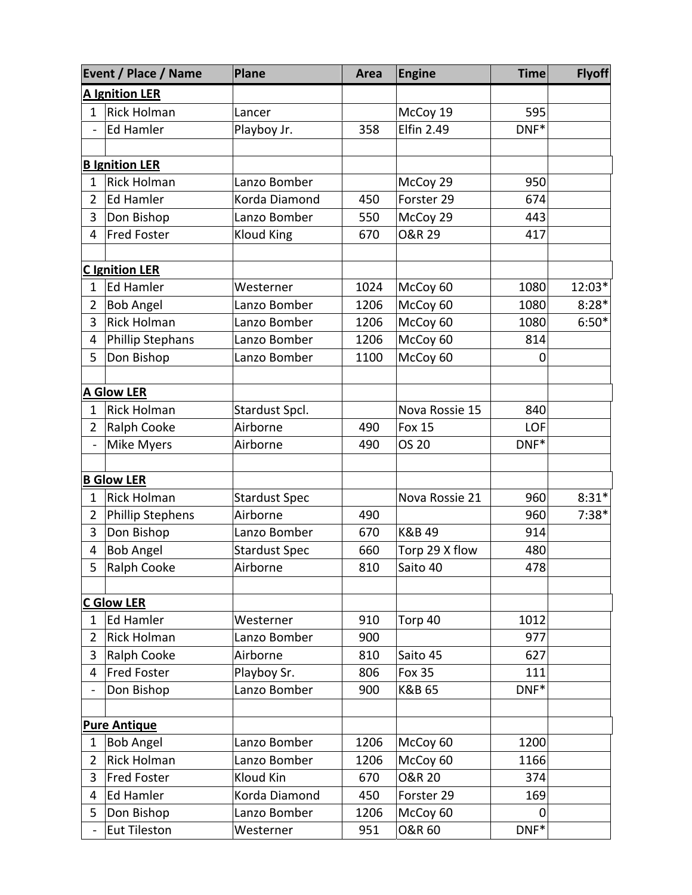|                | Event / Place / Name    | <b>Plane</b>         | Area | <b>Engine</b>     | <b>Time</b>  | <b>Flyoff</b> |  |
|----------------|-------------------------|----------------------|------|-------------------|--------------|---------------|--|
|                | <b>A Ignition LER</b>   |                      |      |                   |              |               |  |
| 1              | <b>Rick Holman</b>      | Lancer               |      | McCoy 19          | 595          |               |  |
| ÷,             | <b>Ed Hamler</b>        | Playboy Jr.          | 358  | <b>Elfin 2.49</b> | DNF*         |               |  |
|                |                         |                      |      |                   |              |               |  |
|                | <b>B</b> Ignition LER   |                      |      |                   |              |               |  |
| $\mathbf{1}$   | <b>Rick Holman</b>      | Lanzo Bomber         |      | McCoy 29          | 950          |               |  |
| $\overline{2}$ | <b>Ed Hamler</b>        | Korda Diamond        | 450  | Forster 29        | 674          |               |  |
| 3              | Don Bishop              | Lanzo Bomber         | 550  | McCoy 29          | 443          |               |  |
| 4              | <b>Fred Foster</b>      | Kloud King           | 670  | <b>O&amp;R 29</b> | 417          |               |  |
|                |                         |                      |      |                   |              |               |  |
|                | <b>C</b> Ignition LER   |                      |      |                   |              |               |  |
| 1              | <b>Ed Hamler</b>        | Westerner            | 1024 | McCoy 60          | 1080         | 12:03*        |  |
| 2              | <b>Bob Angel</b>        | Lanzo Bomber         | 1206 | McCoy 60          | 1080         | $8:28*$       |  |
| 3              | <b>Rick Holman</b>      | Lanzo Bomber         | 1206 | McCoy 60          | 1080         | $6:50*$       |  |
| 4              | <b>Phillip Stephans</b> | Lanzo Bomber         | 1206 | McCoy 60          | 814          |               |  |
| 5              | Don Bishop              | Lanzo Bomber         | 1100 | McCoy 60          | O            |               |  |
|                |                         |                      |      |                   |              |               |  |
|                | <b>A Glow LER</b>       |                      |      |                   |              |               |  |
| $\mathbf{1}$   | <b>Rick Holman</b>      | Stardust Spcl.       |      | Nova Rossie 15    | 840          |               |  |
| $\overline{2}$ | <b>Ralph Cooke</b>      | Airborne             | 490  | <b>Fox 15</b>     | LOF          |               |  |
|                | Mike Myers              | Airborne             | 490  | <b>OS 20</b>      | DNF*         |               |  |
|                |                         |                      |      |                   |              |               |  |
|                | <b>B Glow LER</b>       |                      |      |                   |              |               |  |
| $\mathbf{1}$   | <b>Rick Holman</b>      | <b>Stardust Spec</b> |      | Nova Rossie 21    | 960          | $8:31*$       |  |
| $\overline{2}$ | <b>Phillip Stephens</b> | Airborne             | 490  |                   | 960          | $7:38*$       |  |
| 3              | Don Bishop              | Lanzo Bomber         | 670  | K&B 49            | 914          |               |  |
| 4              | <b>Bob Angel</b>        | <b>Stardust Spec</b> | 660  | Torp 29 X flow    | 480          |               |  |
| 5              | Ralph Cooke             | Airborne             | 810  | Saito 40          | 478          |               |  |
|                |                         |                      |      |                   |              |               |  |
|                | <b>C Glow LER</b>       |                      |      |                   |              |               |  |
| 1              | Ed Hamler               | Westerner            | 910  | Torp 40           | 1012         |               |  |
| $\overline{2}$ | <b>Rick Holman</b>      | Lanzo Bomber         | 900  |                   | 977          |               |  |
| 3              | Ralph Cooke             | Airborne             | 810  | Saito 45          | 627          |               |  |
| 4              | <b>Fred Foster</b>      | Playboy Sr.          | 806  | <b>Fox 35</b>     | 111          |               |  |
|                | Don Bishop              | Lanzo Bomber         | 900  | K&B 65            | $DNF*$       |               |  |
|                |                         |                      |      |                   |              |               |  |
|                | <b>Pure Antique</b>     |                      |      |                   |              |               |  |
| 1              | <b>Bob Angel</b>        | Lanzo Bomber         | 1206 | McCoy 60          | 1200         |               |  |
| $\overline{2}$ | <b>Rick Holman</b>      | Lanzo Bomber         | 1206 | McCoy 60          | 1166         |               |  |
| 3              | <b>Fred Foster</b>      | Kloud Kin            | 670  | <b>O&amp;R 20</b> | 374          |               |  |
| 4              | Ed Hamler               | Korda Diamond        | 450  | Forster 29        | 169          |               |  |
| 5              | Don Bishop              | Lanzo Bomber         | 1206 | McCoy 60          | 0<br>$DNF^*$ |               |  |
|                | <b>Eut Tileston</b>     | Westerner            | 951  | <b>O&amp;R 60</b> |              |               |  |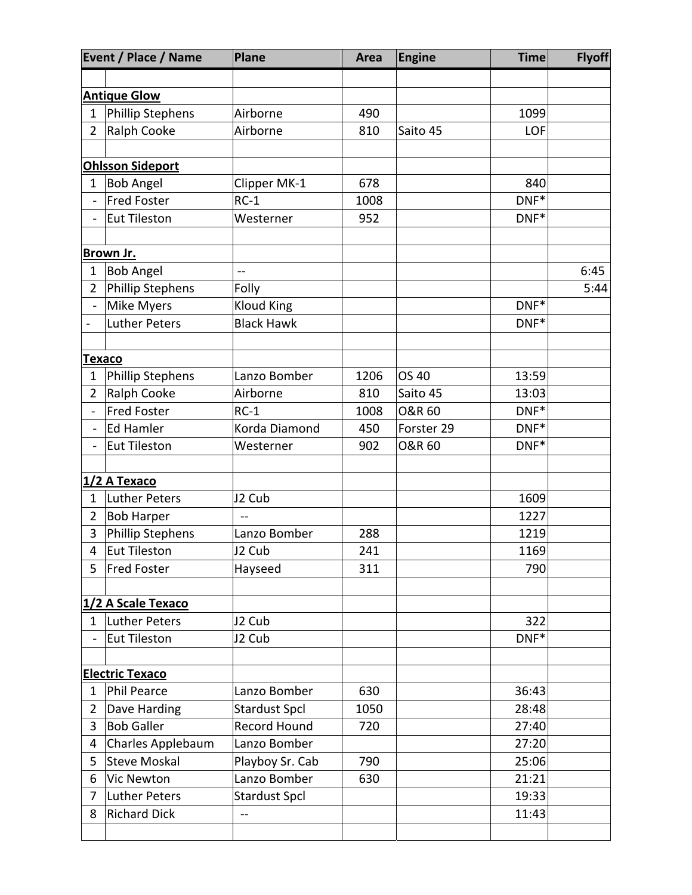|                         | <b>Event / Place / Name</b> | <b>Plane</b>         | Area | <b>Engine</b>     | <b>Time</b> | <b>Flyoff</b> |
|-------------------------|-----------------------------|----------------------|------|-------------------|-------------|---------------|
|                         |                             |                      |      |                   |             |               |
|                         | <b>Antique Glow</b>         |                      |      |                   |             |               |
| $\mathbf{1}$            | Phillip Stephens            | Airborne             | 490  |                   | 1099        |               |
| $\overline{2}$          | Ralph Cooke                 | Airborne             | 810  | Saito 45          | LOF         |               |
| <b>Ohlsson Sideport</b> |                             |                      |      |                   |             |               |
| $\mathbf{1}$            | <b>Bob Angel</b>            | Clipper MK-1         | 678  |                   | 840         |               |
| $\equiv$                | Fred Foster                 | $RC-1$               | 1008 |                   | $DNF*$      |               |
| $\blacksquare$          | Eut Tileston                | Westerner            | 952  |                   | DNF*        |               |
|                         |                             |                      |      |                   |             |               |
|                         | Brown Jr.                   |                      |      |                   |             |               |
| $\mathbf{1}$            | <b>Bob Angel</b>            | $\sim$               |      |                   |             | 6:45          |
| $\overline{2}$          | Phillip Stephens            | Folly                |      |                   |             | 5:44          |
| ÷.                      | Mike Myers                  | <b>Kloud King</b>    |      |                   | DNF*        |               |
| $\frac{1}{2}$           | Luther Peters               | <b>Black Hawk</b>    |      |                   | DNF*        |               |
|                         | Texaco                      |                      |      |                   |             |               |
| 1                       | Phillip Stephens            | Lanzo Bomber         | 1206 | OS 40             | 13:59       |               |
| $\overline{2}$          | Ralph Cooke                 | Airborne             | 810  | Saito 45          | 13:03       |               |
| ÷.                      | Fred Foster                 | $RC-1$               | 1008 | <b>O&amp;R 60</b> | $DNF*$      |               |
| -                       | Ed Hamler                   | Korda Diamond        | 450  | Forster 29        | DNF*        |               |
| -                       | Eut Tileston                | Westerner            | 902  | <b>O&amp;R 60</b> | DNF*        |               |
|                         |                             |                      |      |                   |             |               |
|                         | 1/2 A Texaco                |                      |      |                   |             |               |
| $\mathbf{1}$            | Luther Peters               | J2 Cub               |      |                   | 1609        |               |
| $\overline{2}$          | <b>Bob Harper</b>           |                      |      |                   | 1227        |               |
| 3                       | Phillip Stephens            | Lanzo Bomber         | 288  |                   | 1219        |               |
| 4                       | Eut Tileston                | J2 Cub               | 241  |                   | 1169        |               |
| 5                       | <b>Fred Foster</b>          | Hayseed              | 311  |                   | 790         |               |
|                         |                             |                      |      |                   |             |               |
|                         | 1/2 A Scale Texaco          |                      |      |                   |             |               |
| $1\overline{ }$         | Luther Peters               | J2 Cub               |      |                   | 322         |               |
|                         | Eut Tileston                | J2 Cub               |      |                   | DNF*        |               |
|                         | <b>Electric Texaco</b>      |                      |      |                   |             |               |
| $\mathbf{1}$            | Phil Pearce                 | Lanzo Bomber         | 630  |                   | 36:43       |               |
| $\overline{2}$          | Dave Harding                | <b>Stardust Spcl</b> | 1050 |                   | 28:48       |               |
| 3                       | <b>Bob Galler</b>           | Record Hound         | 720  |                   | 27:40       |               |
| 4                       | Charles Applebaum           | Lanzo Bomber         |      |                   | 27:20       |               |
| 5                       | <b>Steve Moskal</b>         | Playboy Sr. Cab      | 790  |                   | 25:06       |               |
| 6                       | Vic Newton                  | Lanzo Bomber         | 630  |                   | 21:21       |               |
| 7                       | <b>Luther Peters</b>        | <b>Stardust Spcl</b> |      |                   | 19:33       |               |
| 8                       | <b>Richard Dick</b>         | --                   |      |                   | 11:43       |               |
|                         |                             |                      |      |                   |             |               |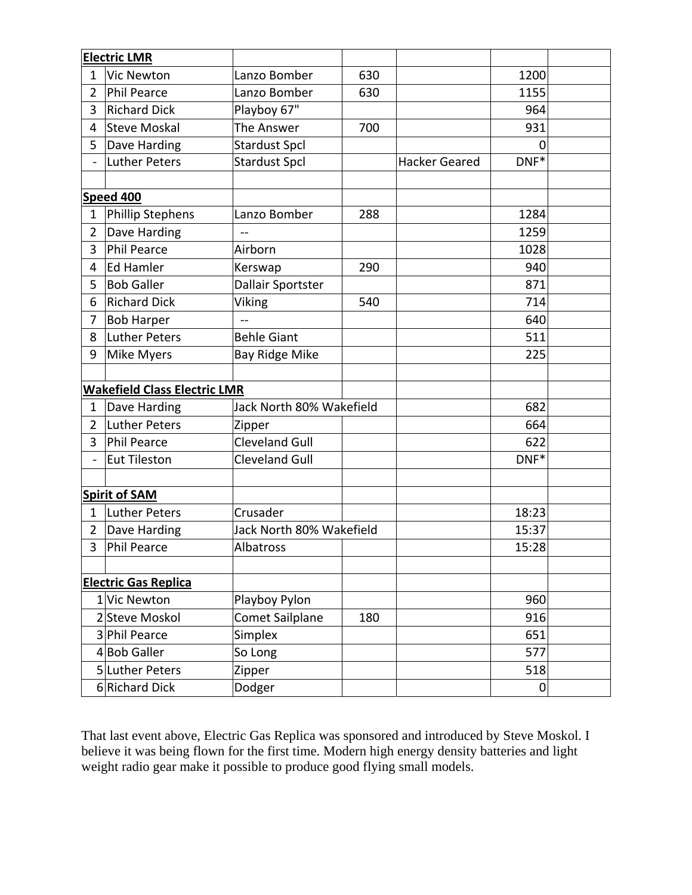|                                     | <b>Electric LMR</b>  |                          |     |                      |             |  |
|-------------------------------------|----------------------|--------------------------|-----|----------------------|-------------|--|
| $\mathbf{1}$                        | <b>Vic Newton</b>    | Lanzo Bomber             | 630 |                      | 1200        |  |
| $\overline{2}$                      | <b>Phil Pearce</b>   | Lanzo Bomber             | 630 |                      | 1155        |  |
| 3                                   | <b>Richard Dick</b>  | Playboy 67"              |     |                      | 964         |  |
| 4                                   | <b>Steve Moskal</b>  | The Answer               | 700 |                      | 931         |  |
| 5                                   | Dave Harding         | <b>Stardust Spcl</b>     |     |                      | $\mathbf 0$ |  |
| $\overline{\phantom{a}}$            | Luther Peters        | <b>Stardust Spcl</b>     |     | <b>Hacker Geared</b> | DNF*        |  |
|                                     |                      |                          |     |                      |             |  |
|                                     | <b>Speed 400</b>     |                          |     |                      |             |  |
| $\mathbf{1}$                        | Phillip Stephens     | Lanzo Bomber             | 288 |                      | 1284        |  |
| $\overline{2}$                      | Dave Harding         |                          |     |                      | 1259        |  |
| 3                                   | <b>Phil Pearce</b>   | Airborn                  |     |                      | 1028        |  |
| 4                                   | <b>Ed Hamler</b>     | 290<br>Kerswap           |     |                      | 940         |  |
| 5                                   | <b>Bob Galler</b>    | Dallair Sportster        |     |                      | 871         |  |
| 6                                   | <b>Richard Dick</b>  | Viking                   | 540 |                      | 714         |  |
| 7                                   | <b>Bob Harper</b>    | $-$                      |     |                      | 640         |  |
| 8                                   | Luther Peters        | <b>Behle Giant</b>       |     |                      | 511         |  |
| 9                                   | <b>Mike Myers</b>    | <b>Bay Ridge Mike</b>    |     |                      | 225         |  |
|                                     |                      |                          |     |                      |             |  |
| <b>Wakefield Class Electric LMR</b> |                      |                          |     |                      |             |  |
| 1                                   | Dave Harding         | Jack North 80% Wakefield |     |                      | 682         |  |
| $\overline{2}$                      | <b>Luther Peters</b> | Zipper                   |     |                      | 664         |  |
| 3                                   | Phil Pearce          | <b>Cleveland Gull</b>    |     |                      | 622         |  |
| $\frac{1}{2}$                       | <b>Eut Tileston</b>  | <b>Cleveland Gull</b>    |     |                      | DNF*        |  |
|                                     |                      |                          |     |                      |             |  |
|                                     | <b>Spirit of SAM</b> |                          |     |                      |             |  |
| $\mathbf{1}$                        | Luther Peters        | Crusader                 |     |                      | 18:23       |  |
| $\overline{2}$                      | Dave Harding         | Jack North 80% Wakefield |     |                      | 15:37       |  |
| 3                                   | Phil Pearce          | Albatross                |     |                      | 15:28       |  |
|                                     |                      |                          |     |                      |             |  |
| <b>Electric Gas Replica</b>         |                      |                          |     |                      |             |  |
|                                     | 1 Vic Newton         | Playboy Pylon            |     |                      | 960         |  |
|                                     | 2 Steve Moskol       | Comet Sailplane          | 180 |                      | 916         |  |
|                                     | 3 Phil Pearce        | Simplex                  |     |                      | 651         |  |
|                                     | 4Bob Galler          | So Long                  |     |                      | 577         |  |
|                                     | 5 Luther Peters      | Zipper                   |     |                      | 518         |  |
|                                     | 6 Richard Dick       | Dodger                   |     |                      | $\mathbf 0$ |  |

That last event above, Electric Gas Replica was sponsored and introduced by Steve Moskol. I believe it was being flown for the first time. Modern high energy density batteries and light weight radio gear make it possible to produce good flying small models.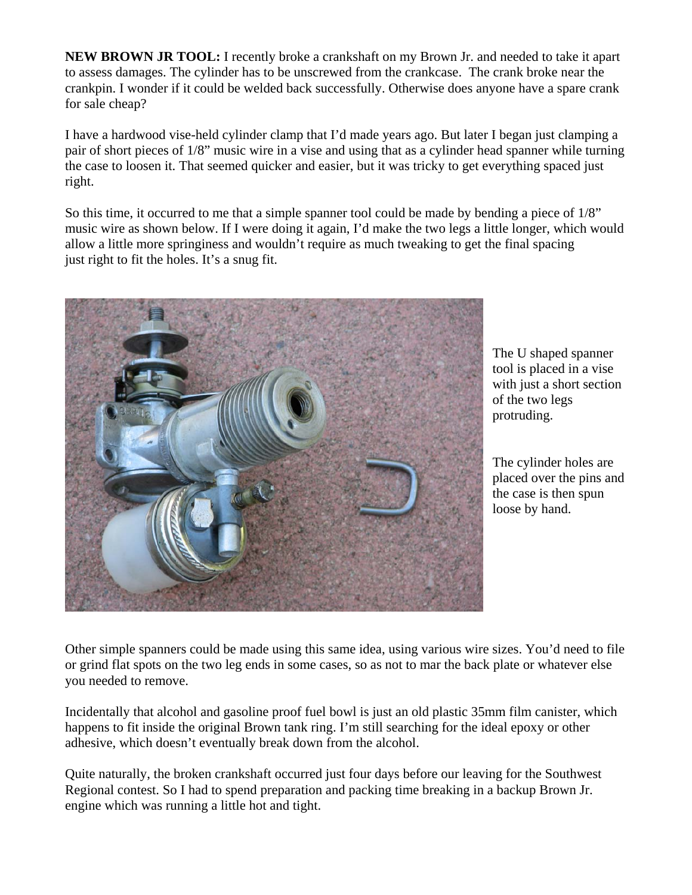**NEW BROWN JR TOOL:** I recently broke a crankshaft on my Brown Jr. and needed to take it apart to assess damages. The cylinder has to be unscrewed from the crankcase. The crank broke near the crankpin. I wonder if it could be welded back successfully. Otherwise does anyone have a spare crank for sale cheap?

I have a hardwood vise-held cylinder clamp that I'd made years ago. But later I began just clamping a pair of short pieces of 1/8" music wire in a vise and using that as a cylinder head spanner while turning the case to loosen it. That seemed quicker and easier, but it was tricky to get everything spaced just right.

So this time, it occurred to me that a simple spanner tool could be made by bending a piece of 1/8" music wire as shown below. If I were doing it again, I'd make the two legs a little longer, which would allow a little more springiness and wouldn't require as much tweaking to get the final spacing just right to fit the holes. It's a snug fit.



The U shaped spanner tool is placed in a vise with just a short section of the two legs protruding.

The cylinder holes are placed over the pins and the case is then spun loose by hand.

Other simple spanners could be made using this same idea, using various wire sizes. You'd need to file or grind flat spots on the two leg ends in some cases, so as not to mar the back plate or whatever else you needed to remove.

Incidentally that alcohol and gasoline proof fuel bowl is just an old plastic 35mm film canister, which happens to fit inside the original Brown tank ring. I'm still searching for the ideal epoxy or other adhesive, which doesn't eventually break down from the alcohol.

Quite naturally, the broken crankshaft occurred just four days before our leaving for the Southwest Regional contest. So I had to spend preparation and packing time breaking in a backup Brown Jr. engine which was running a little hot and tight.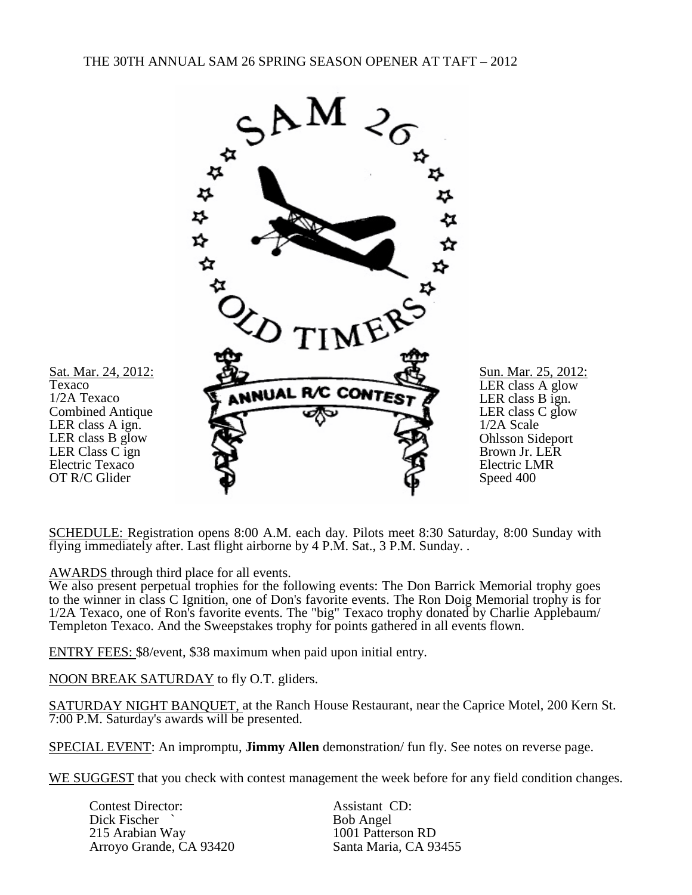

SCHEDULE: Registration opens 8:00 A.M. each day. Pilots meet 8:30 Saturday, 8:00 Sunday with flying immediately after. Last flight airborne by 4 P.M. Sat., 3 P.M. Sunday. .

AWARDS through third place for all events.

We also present perpetual trophies for the following events: The Don Barrick Memorial trophy goes to the winner in class C Ignition, one of Don's favorite events. The Ron Doig Memorial trophy is for 1/2A Texaco, one of Ron's favorite events. The "big" Texaco trophy donated by Charlie Applebaum/ Templeton Texaco. And the Sweepstakes trophy for points gathered in all events flown.

ENTRY FEES: \$8/event, \$38 maximum when paid upon initial entry.

NOON BREAK SATURDAY to fly O.T. gliders.

SATURDAY NIGHT BANQUET, at the Ranch House Restaurant, near the Caprice Motel, 200 Kern St. 7:00 P.M. Saturday's awards will be presented.

SPECIAL EVENT: An impromptu, **Jimmy Allen** demonstration/ fun fly. See notes on reverse page.

WE SUGGEST that you check with contest management the week before for any field condition changes.

Contest Director: Assistant CD:<br>
Dick Fischer ` Bob Angel Dick Fischer ` Bob Angel<br>
215 Arabian Way 1001 Patterson RD 215 Arabian Way 1001 Patterson RD<br>Arrovo Grande. CA 93420 Santa Maria. CA 93455 Arroyo Grande, CA 93420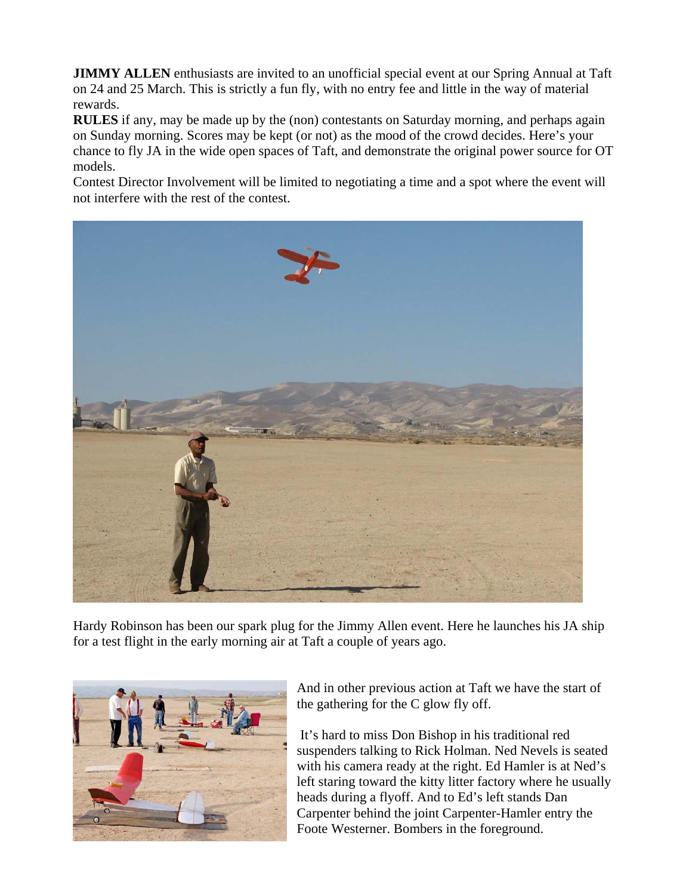**JIMMY ALLEN** enthusiasts are invited to an unofficial special event at our Spring Annual at Taft on 24 and 25 March. This is strictly a fun fly, with no entry fee and little in the way of material rewards.

**RULES** if any, may be made up by the (non) contestants on Saturday morning, and perhaps again on Sunday morning. Scores may be kept (or not) as the mood of the crowd decides. Here's your chance to fly JA in the wide open spaces of Taft, and demonstrate the original power source for OT models.

Contest Director Involvement will be limited to negotiating a time and a spot where the event will not interfere with the rest of the contest.



Hardy Robinson has been our spark plug for the Jimmy Allen event. Here he launches his JA ship for a test flight in the early morning air at Taft a couple of years ago.



And in other previous action at Taft we have the start of the gathering for the C glow fly off.

 It's hard to miss Don Bishop in his traditional red suspenders talking to Rick Holman. Ned Nevels is seated with his camera ready at the right. Ed Hamler is at Ned's left staring toward the kitty litter factory where he usually heads during a flyoff. And to Ed's left stands Dan Carpenter behind the joint Carpenter-Hamler entry the Foote Westerner. Bombers in the foreground.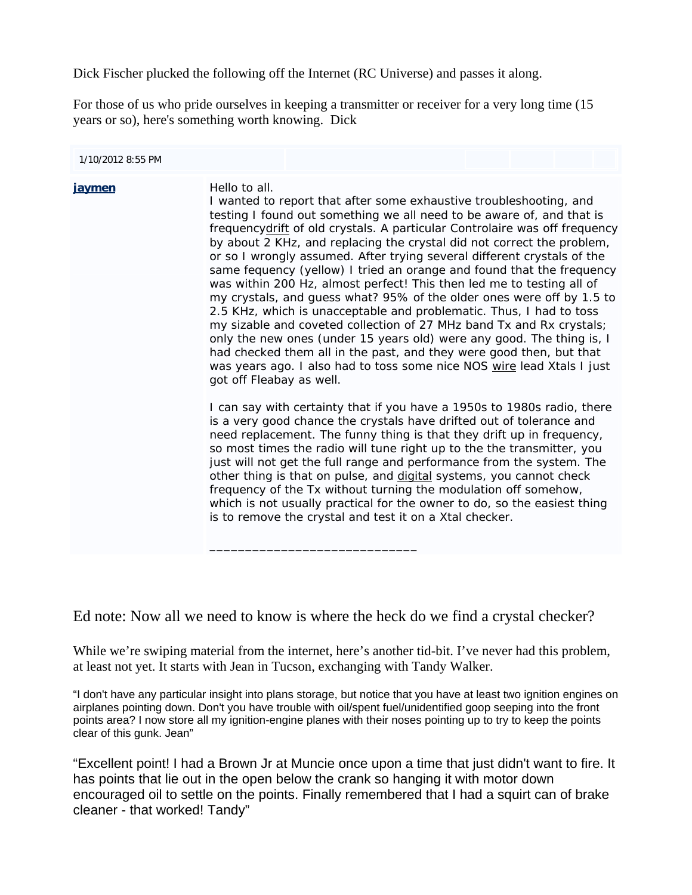Dick Fischer plucked the following off the Internet (RC Universe) and passes it along.

For those of us who pride ourselves in keeping a transmitter or receiver for a very long time (15 years or so), here's something worth knowing. Dick

| 1/10/2012 8:55 PM |               |                                                                                                                                                                                                                                                                                                                                                                                                                                                                                                                                                                                                                                                                                                                                                                                                                                                                                                                                                                                                                |  |  |  |  |  |  |
|-------------------|---------------|----------------------------------------------------------------------------------------------------------------------------------------------------------------------------------------------------------------------------------------------------------------------------------------------------------------------------------------------------------------------------------------------------------------------------------------------------------------------------------------------------------------------------------------------------------------------------------------------------------------------------------------------------------------------------------------------------------------------------------------------------------------------------------------------------------------------------------------------------------------------------------------------------------------------------------------------------------------------------------------------------------------|--|--|--|--|--|--|
| jaymen            | Hello to all. | I wanted to report that after some exhaustive troubleshooting, and<br>testing I found out something we all need to be aware of, and that is<br>frequencydrift of old crystals. A particular Controlaire was off frequency<br>by about 2 KHz, and replacing the crystal did not correct the problem,<br>or so I wrongly assumed. After trying several different crystals of the<br>same fequency (yellow) I tried an orange and found that the frequency<br>was within 200 Hz, almost perfect! This then led me to testing all of<br>my crystals, and guess what? 95% of the older ones were off by 1.5 to<br>2.5 KHz, which is unacceptable and problematic. Thus, I had to toss<br>my sizable and coveted collection of 27 MHz band Tx and Rx crystals;<br>only the new ones (under 15 years old) were any good. The thing is, I<br>had checked them all in the past, and they were good then, but that<br>was years ago. I also had to toss some nice NOS wire lead Xtals I just<br>got off Fleabay as well. |  |  |  |  |  |  |
|                   |               | I can say with certainty that if you have a 1950s to 1980s radio, there<br>is a very good chance the crystals have drifted out of tolerance and<br>need replacement. The funny thing is that they drift up in frequency,<br>so most times the radio will tune right up to the the transmitter, you<br>just will not get the full range and performance from the system. The<br>other thing is that on pulse, and digital systems, you cannot check<br>frequency of the Tx without turning the modulation off somehow,<br>which is not usually practical for the owner to do, so the easiest thing<br>is to remove the crystal and test it on a Xtal checker.                                                                                                                                                                                                                                                                                                                                                   |  |  |  |  |  |  |

Ed note: Now all we need to know is where the heck do we find a crystal checker?

While we're swiping material from the internet, here's another tid-bit. I've never had this problem, at least not yet. It starts with Jean in Tucson, exchanging with Tandy Walker.

"I don't have any particular insight into plans storage, but notice that you have at least two ignition engines on airplanes pointing down. Don't you have trouble with oil/spent fuel/unidentified goop seeping into the front points area? I now store all my ignition-engine planes with their noses pointing up to try to keep the points clear of this gunk. Jean"

"Excellent point! I had a Brown Jr at Muncie once upon a time that just didn't want to fire. It has points that lie out in the open below the crank so hanging it with motor down encouraged oil to settle on the points. Finally remembered that I had a squirt can of brake cleaner - that worked! Tandy"